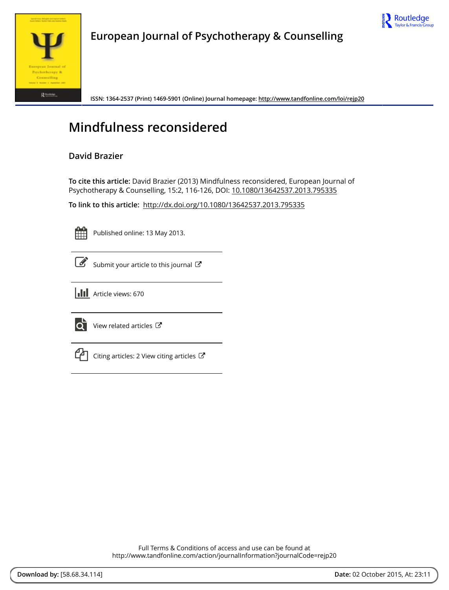

## **European Journal of Psychotherapy & Counselling**



**ISSN: 1364-2537 (Print) 1469-5901 (Online) Journal homepage:<http://www.tandfonline.com/loi/rejp20>**

# **Mindfulness reconsidered**

### **David Brazier**

**To cite this article:** David Brazier (2013) Mindfulness reconsidered, European Journal of Psychotherapy & Counselling, 15:2, 116-126, DOI: [10.1080/13642537.2013.795335](http://www.tandfonline.com/action/showCitFormats?doi=10.1080/13642537.2013.795335)

**To link to this article:** <http://dx.doi.org/10.1080/13642537.2013.795335>

Published online: 13 May 2013.

[Submit your article to this journal](http://www.tandfonline.com/action/authorSubmission?journalCode=rejp20&page=instructions)  $\mathbb{Z}$ 





[View related articles](http://www.tandfonline.com/doi/mlt/10.1080/13642537.2013.795335) ぴ



[Citing articles: 2 View citing articles](http://www.tandfonline.com/doi/citedby/10.1080/13642537.2013.795335#tabModule)  $\mathbb{Z}$ 

Full Terms & Conditions of access and use can be found at <http://www.tandfonline.com/action/journalInformation?journalCode=rejp20>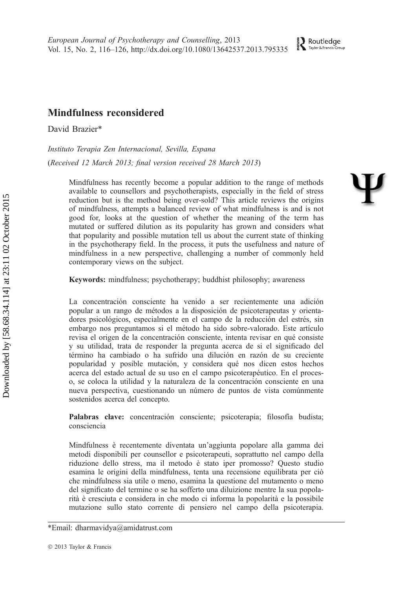### Mindfulness reconsidered

David Brazier\*

Instituto Terapia Zen Internacional, Sevilla, Espana (Received 12 March 2013; final version received 28 March 2013)

Mindfulness has recently become a popular addition to the range of methods available to counsellors and psychotherapists, especially in the field of stress reduction but is the method being over-sold? This article reviews the origins of mindfulness, attempts a balanced review of what mindfulness is and is not good for, looks at the question of whether the meaning of the term has mutated or suffered dilution as its popularity has grown and considers what that popularity and possible mutation tell us about the current state of thinking in the psychotherapy field. In the process, it puts the usefulness and nature of mindfulness in a new perspective, challenging a number of commonly held contemporary views on the subject.

Keywords: mindfulness; psychotherapy; buddhist philosophy; awareness

La concentración consciente ha venido a ser recientemente una adición popular a un rango de métodos a la disposición de psicoterapeutas y orientadores psicológicos, especialmente en el campo de la reducción del estrés, sin embargo nos preguntamos si el método ha sido sobre-valorado. Este artículo revisa el origen de la concentración consciente, intenta revisar en qué consiste y su utilidad, trata de responder la pregunta acerca de si el significado del término ha cambiado o ha sufrido una dilución en razón de su creciente popularidad y posible mutación, y considera qué nos dicen estos hechos acerca del estado actual de su uso en el campo psicoterapéutico. En el proceso, se coloca la utilidad y la naturaleza de la concentración consciente en una nueva perspectiva, cuestionando un número de puntos de vista comúnmente sostenidos acerca del concepto.

Palabras clave: concentración consciente; psicoterapia; filosofía budista; consciencia

Mindfulness è recentemente diventata un'aggiunta popolare alla gamma dei metodi disponibili per counsellor e psicoterapeuti, soprattutto nel campo della riduzione dello stress, ma il metodo è stato iper promosso? Questo studio esamina le origini della mindfulness, tenta una recensione equilibrata per ciò che mindfulness sia utile o meno, esamina la questione del mutamento o meno del significato del termine o se ha sofferto una diluizione mentre la sua popolarità è cresciuta e considera in che modo ci informa la popolarità e la possibile mutazione sullo stato corrente di pensiero nel campo della psicoterapia.

<sup>\*</sup>Email: dharmavidya@amidatrust.com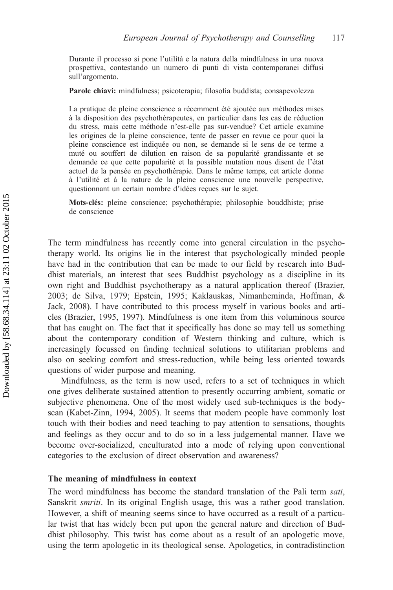Durante il processo si pone l'utilità e la natura della mindfulness in una nuova prospettiva, contestando un numero di punti di vista contemporanei diffusi sull'argomento.

Parole chiavi: mindfulness; psicoterapia; filosofia buddista; consapevolezza

La pratique de pleine conscience a récemment été ajoutée aux méthodes mises à la disposition des psychothérapeutes, en particulier dans les cas de réduction du stress, mais cette méthode n'est-elle pas sur-vendue? Cet article examine les origines de la pleine conscience, tente de passer en revue ce pour quoi la pleine conscience est indiquée ou non, se demande si le sens de ce terme a muté ou souffert de dilution en raison de sa popularité grandissante et se demande ce que cette popularité et la possible mutation nous disent de l'état actuel de la pensée en psychothérapie. Dans le même temps, cet article donne à l'utilité et à la nature de la pleine conscience une nouvelle perspective, questionnant un certain nombre d'idées reçues sur le sujet.

Mots-clés: pleine conscience; psychothérapie; philosophie bouddhiste; prise de conscience

The term mindfulness has recently come into general circulation in the psychotherapy world. Its origins lie in the interest that psychologically minded people have had in the contribution that can be made to our field by research into Buddhist materials, an interest that sees Buddhist psychology as a discipline in its own right and Buddhist psychotherapy as a natural application thereof (Brazier, 2003; de Silva, 1979; Epstein, 1995; Kaklauskas, Nimanheminda, Hoffman, & Jack, 2008). I have contributed to this process myself in various books and articles (Brazier, 1995, 1997). Mindfulness is one item from this voluminous source that has caught on. The fact that it specifically has done so may tell us something about the contemporary condition of Western thinking and culture, which is increasingly focussed on finding technical solutions to utilitarian problems and also on seeking comfort and stress-reduction, while being less oriented towards questions of wider purpose and meaning.

Mindfulness, as the term is now used, refers to a set of techniques in which one gives deliberate sustained attention to presently occurring ambient, somatic or subjective phenomena. One of the most widely used sub-techniques is the bodyscan (Kabet-Zinn, 1994, 2005). It seems that modern people have commonly lost touch with their bodies and need teaching to pay attention to sensations, thoughts and feelings as they occur and to do so in a less judgemental manner. Have we become over-socialized, enculturated into a mode of relying upon conventional categories to the exclusion of direct observation and awareness?

#### The meaning of mindfulness in context

The word mindfulness has become the standard translation of the Pali term sati, Sanskrit smriti. In its original English usage, this was a rather good translation. However, a shift of meaning seems since to have occurred as a result of a particular twist that has widely been put upon the general nature and direction of Buddhist philosophy. This twist has come about as a result of an apologetic move, using the term apologetic in its theological sense. Apologetics, in contradistinction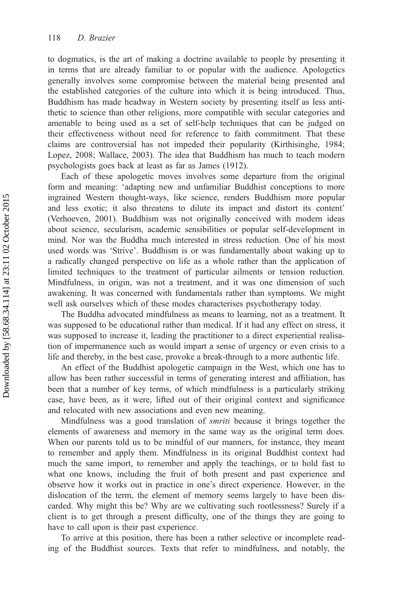to dogmatics, is the art of making a doctrine available to people by presenting it in terms that are already familiar to or popular with the audience. Apologetics generally involves some compromise between the material being presented and the established categories of the culture into which it is being introduced. Thus, Buddhism has made headway in Western society by presenting itself as less antithetic to science than other religions, more compatible with secular categories and amenable to being used as a set of self-help techniques that can be judged on their effectiveness without need for reference to faith commitment. That these claims are controversial has not impeded their popularity (Kirthisinghe, 1984; Lopez, 2008; Wallace, 2003). The idea that Buddhism has much to teach modern psychologists goes back at least as far as James (1912).

Each of these apologetic moves involves some departure from the original form and meaning: 'adapting new and unfamiliar Buddhist conceptions to more ingrained Western thought-ways, like science, renders Buddhism more popular and less exotic; it also threatens to dilute its impact and distort its content' (Verhoeven, 2001). Buddhism was not originally conceived with modern ideas about science, secularism, academic sensibilities or popular self-development in mind. Nor was the Buddha much interested in stress reduction. One of his most used words was 'Strive'. Buddhism is or was fundamentally about waking up to a radically changed perspective on life as a whole rather than the application of limited techniques to the treatment of particular ailments or tension reduction. Mindfulness, in origin, was not a treatment, and it was one dimension of such awakening. It was concerned with fundamentals rather than symptoms. We might well ask ourselves which of these modes characterises psychotherapy today.

The Buddha advocated mindfulness as means to learning, not as a treatment. It was supposed to be educational rather than medical. If it had any effect on stress, it was supposed to increase it, leading the practitioner to a direct experiential realisation of impermanence such as would impart a sense of urgency or even crisis to a life and thereby, in the best case, provoke a break-through to a more authentic life.

An effect of the Buddhist apologetic campaign in the West, which one has to allow has been rather successful in terms of generating interest and affiliation, has been that a number of key terms, of which mindfulness is a particularly striking case, have been, as it were, lifted out of their original context and significance and relocated with new associations and even new meaning.

Mindfulness was a good translation of smriti because it brings together the elements of awareness and memory in the same way as the original term does. When our parents told us to be mindful of our manners, for instance, they meant to remember and apply them. Mindfulness in its original Buddhist context had much the same import, to remember and apply the teachings, or to hold fast to what one knows, including the fruit of both present and past experience and observe how it works out in practice in one's direct experience. However, in the dislocation of the term, the element of memory seems largely to have been discarded. Why might this be? Why are we cultivating such rootlessness? Surely if a client is to get through a present difficulty, one of the things they are going to have to call upon is their past experience.

To arrive at this position, there has been a rather selective or incomplete reading of the Buddhist sources. Texts that refer to mindfulness, and notably, the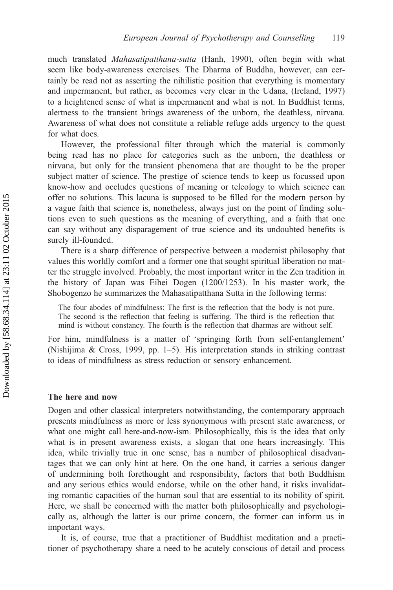much translated Mahasatipatthana-sutta (Hanh, 1990), often begin with what seem like body-awareness exercises. The Dharma of Buddha, however, can certainly be read not as asserting the nihilistic position that everything is momentary and impermanent, but rather, as becomes very clear in the Udana, (Ireland, 1997) to a heightened sense of what is impermanent and what is not. In Buddhist terms, alertness to the transient brings awareness of the unborn, the deathless, nirvana. Awareness of what does not constitute a reliable refuge adds urgency to the quest for what does.

However, the professional filter through which the material is commonly being read has no place for categories such as the unborn, the deathless or nirvana, but only for the transient phenomena that are thought to be the proper subject matter of science. The prestige of science tends to keep us focussed upon know-how and occludes questions of meaning or teleology to which science can offer no solutions. This lacuna is supposed to be filled for the modern person by a vague faith that science is, nonetheless, always just on the point of finding solutions even to such questions as the meaning of everything, and a faith that one can say without any disparagement of true science and its undoubted benefits is surely ill-founded.

There is a sharp difference of perspective between a modernist philosophy that values this worldly comfort and a former one that sought spiritual liberation no matter the struggle involved. Probably, the most important writer in the Zen tradition in the history of Japan was Eihei Dogen (1200/1253). In his master work, the Shobogenzo he summarizes the Mahasatipatthana Sutta in the following terms:

The four abodes of mindfulness: The first is the reflection that the body is not pure. The second is the reflection that feeling is suffering. The third is the reflection that mind is without constancy. The fourth is the reflection that dharmas are without self.

For him, mindfulness is a matter of 'springing forth from self-entanglement' (Nishijima & Cross, 1999, pp. 1–5). His interpretation stands in striking contrast to ideas of mindfulness as stress reduction or sensory enhancement.

#### The here and now

Dogen and other classical interpreters notwithstanding, the contemporary approach presents mindfulness as more or less synonymous with present state awareness, or what one might call here-and-now-ism. Philosophically, this is the idea that only what is in present awareness exists, a slogan that one hears increasingly. This idea, while trivially true in one sense, has a number of philosophical disadvantages that we can only hint at here. On the one hand, it carries a serious danger of undermining both forethought and responsibility, factors that both Buddhism and any serious ethics would endorse, while on the other hand, it risks invalidating romantic capacities of the human soul that are essential to its nobility of spirit. Here, we shall be concerned with the matter both philosophically and psychologically as, although the latter is our prime concern, the former can inform us in important ways.

It is, of course, true that a practitioner of Buddhist meditation and a practitioner of psychotherapy share a need to be acutely conscious of detail and process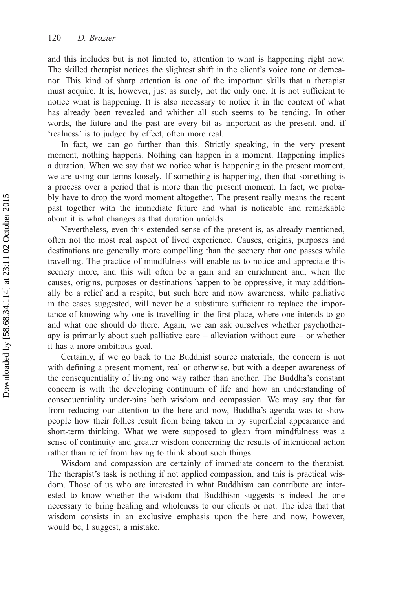and this includes but is not limited to, attention to what is happening right now. The skilled therapist notices the slightest shift in the client's voice tone or demeanor. This kind of sharp attention is one of the important skills that a therapist must acquire. It is, however, just as surely, not the only one. It is not sufficient to notice what is happening. It is also necessary to notice it in the context of what has already been revealed and whither all such seems to be tending. In other words, the future and the past are every bit as important as the present, and, if 'realness' is to judged by effect, often more real.

In fact, we can go further than this. Strictly speaking, in the very present moment, nothing happens. Nothing can happen in a moment. Happening implies a duration. When we say that we notice what is happening in the present moment, we are using our terms loosely. If something is happening, then that something is a process over a period that is more than the present moment. In fact, we probably have to drop the word moment altogether. The present really means the recent past together with the immediate future and what is noticable and remarkable about it is what changes as that duration unfolds.

Nevertheless, even this extended sense of the present is, as already mentioned, often not the most real aspect of lived experience. Causes, origins, purposes and destinations are generally more compelling than the scenery that one passes while travelling. The practice of mindfulness will enable us to notice and appreciate this scenery more, and this will often be a gain and an enrichment and, when the causes, origins, purposes or destinations happen to be oppressive, it may additionally be a relief and a respite, but such here and now awareness, while palliative in the cases suggested, will never be a substitute sufficient to replace the importance of knowing why one is travelling in the first place, where one intends to go and what one should do there. Again, we can ask ourselves whether psychotherapy is primarily about such palliative care – alleviation without cure – or whether it has a more ambitious goal.

Certainly, if we go back to the Buddhist source materials, the concern is not with defining a present moment, real or otherwise, but with a deeper awareness of the consequentiality of living one way rather than another. The Buddha's constant concern is with the developing continuum of life and how an understanding of consequentiality under-pins both wisdom and compassion. We may say that far from reducing our attention to the here and now, Buddha's agenda was to show people how their follies result from being taken in by superficial appearance and short-term thinking. What we were supposed to glean from mindfulness was a sense of continuity and greater wisdom concerning the results of intentional action rather than relief from having to think about such things.

Wisdom and compassion are certainly of immediate concern to the therapist. The therapist's task is nothing if not applied compassion, and this is practical wisdom. Those of us who are interested in what Buddhism can contribute are interested to know whether the wisdom that Buddhism suggests is indeed the one necessary to bring healing and wholeness to our clients or not. The idea that that wisdom consists in an exclusive emphasis upon the here and now, however, would be, I suggest, a mistake.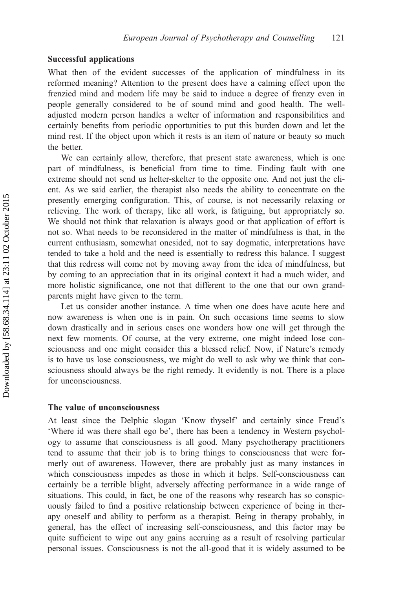#### Successful applications

What then of the evident successes of the application of mindfulness in its reformed meaning? Attention to the present does have a calming effect upon the frenzied mind and modern life may be said to induce a degree of frenzy even in people generally considered to be of sound mind and good health. The welladjusted modern person handles a welter of information and responsibilities and certainly benefits from periodic opportunities to put this burden down and let the mind rest. If the object upon which it rests is an item of nature or beauty so much the better.

We can certainly allow, therefore, that present state awareness, which is one part of mindfulness, is beneficial from time to time. Finding fault with one extreme should not send us helter-skelter to the opposite one. And not just the client. As we said earlier, the therapist also needs the ability to concentrate on the presently emerging configuration. This, of course, is not necessarily relaxing or relieving. The work of therapy, like all work, is fatiguing, but appropriately so. We should not think that relaxation is always good or that application of effort is not so. What needs to be reconsidered in the matter of mindfulness is that, in the current enthusiasm, somewhat onesided, not to say dogmatic, interpretations have tended to take a hold and the need is essentially to redress this balance. I suggest that this redress will come not by moving away from the idea of mindfulness, but by coming to an appreciation that in its original context it had a much wider, and more holistic significance, one not that different to the one that our own grandparents might have given to the term.

Let us consider another instance. A time when one does have acute here and now awareness is when one is in pain. On such occasions time seems to slow down drastically and in serious cases one wonders how one will get through the next few moments. Of course, at the very extreme, one might indeed lose consciousness and one might consider this a blessed relief. Now, if Nature's remedy is to have us lose consciousness, we might do well to ask why we think that consciousness should always be the right remedy. It evidently is not. There is a place for unconsciousness.

#### The value of unconsciousness

At least since the Delphic slogan 'Know thyself' and certainly since Freud's 'Where id was there shall ego be', there has been a tendency in Western psychology to assume that consciousness is all good. Many psychotherapy practitioners tend to assume that their job is to bring things to consciousness that were formerly out of awareness. However, there are probably just as many instances in which consciousness impedes as those in which it helps. Self-consciousness can certainly be a terrible blight, adversely affecting performance in a wide range of situations. This could, in fact, be one of the reasons why research has so conspicuously failed to find a positive relationship between experience of being in therapy oneself and ability to perform as a therapist. Being in therapy probably, in general, has the effect of increasing self-consciousness, and this factor may be quite sufficient to wipe out any gains accruing as a result of resolving particular personal issues. Consciousness is not the all-good that it is widely assumed to be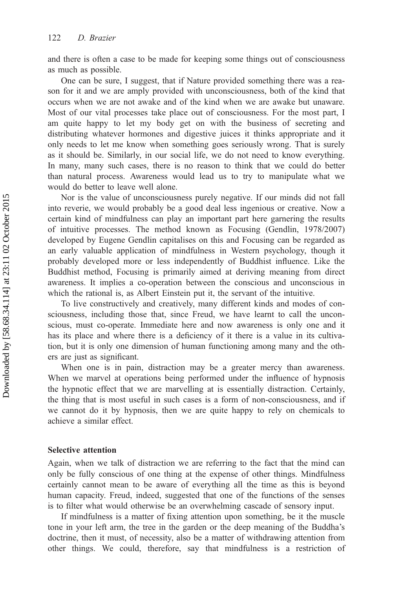and there is often a case to be made for keeping some things out of consciousness as much as possible.

One can be sure, I suggest, that if Nature provided something there was a reason for it and we are amply provided with unconsciousness, both of the kind that occurs when we are not awake and of the kind when we are awake but unaware. Most of our vital processes take place out of consciousness. For the most part, I am quite happy to let my body get on with the business of secreting and distributing whatever hormones and digestive juices it thinks appropriate and it only needs to let me know when something goes seriously wrong. That is surely as it should be. Similarly, in our social life, we do not need to know everything. In many, many such cases, there is no reason to think that we could do better than natural process. Awareness would lead us to try to manipulate what we would do better to leave well alone.

Nor is the value of unconsciousness purely negative. If our minds did not fall into reverie, we would probably be a good deal less ingenious or creative. Now a certain kind of mindfulness can play an important part here garnering the results of intuitive processes. The method known as Focusing (Gendlin, 1978/2007) developed by Eugene Gendlin capitalises on this and Focusing can be regarded as an early valuable application of mindfulness in Western psychology, though it probably developed more or less independently of Buddhist influence. Like the Buddhist method, Focusing is primarily aimed at deriving meaning from direct awareness. It implies a co-operation between the conscious and unconscious in which the rational is, as Albert Einstein put it, the servant of the intuitive.

To live constructively and creatively, many different kinds and modes of consciousness, including those that, since Freud, we have learnt to call the unconscious, must co-operate. Immediate here and now awareness is only one and it has its place and where there is a deficiency of it there is a value in its cultivation, but it is only one dimension of human functioning among many and the others are just as significant.

When one is in pain, distraction may be a greater mercy than awareness. When we marvel at operations being performed under the influence of hypnosis the hypnotic effect that we are marvelling at is essentially distraction. Certainly, the thing that is most useful in such cases is a form of non-consciousness, and if we cannot do it by hypnosis, then we are quite happy to rely on chemicals to achieve a similar effect.

#### Selective attention

Again, when we talk of distraction we are referring to the fact that the mind can only be fully conscious of one thing at the expense of other things. Mindfulness certainly cannot mean to be aware of everything all the time as this is beyond human capacity. Freud, indeed, suggested that one of the functions of the senses is to filter what would otherwise be an overwhelming cascade of sensory input.

If mindfulness is a matter of fixing attention upon something, be it the muscle tone in your left arm, the tree in the garden or the deep meaning of the Buddha's doctrine, then it must, of necessity, also be a matter of withdrawing attention from other things. We could, therefore, say that mindfulness is a restriction of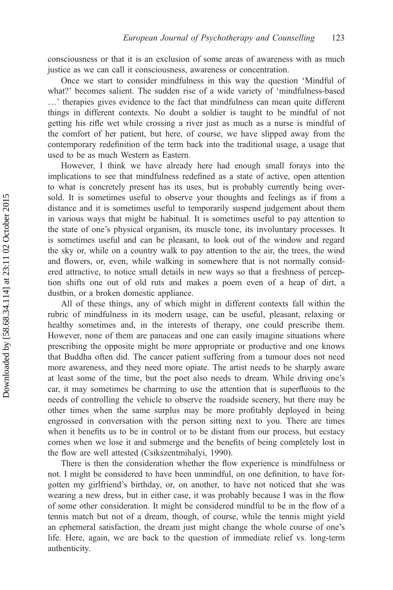consciousness or that it is an exclusion of some areas of awareness with as much justice as we can call it consciousness, awareness or concentration.

Once we start to consider mindfulness in this way the question 'Mindful of what?' becomes salient. The sudden rise of a wide variety of 'mindfulness-based …' therapies gives evidence to the fact that mindfulness can mean quite different things in different contexts. No doubt a soldier is taught to be mindful of not getting his rifle wet while crossing a river just as much as a nurse is mindful of the comfort of her patient, but here, of course, we have slipped away from the contemporary redefinition of the term back into the traditional usage, a usage that used to be as much Western as Eastern.

However, I think we have already here had enough small forays into the implications to see that mindfulness redefined as a state of active, open attention to what is concretely present has its uses, but is probably currently being oversold. It is sometimes useful to observe your thoughts and feelings as if from a distance and it is sometimes useful to temporarily suspend judgement about them in various ways that might be habitual. It is sometimes useful to pay attention to the state of one's physical organism, its muscle tone, its involuntary processes. It is sometimes useful and can be pleasant, to look out of the window and regard the sky or, while on a country walk to pay attention to the air, the trees, the wind and flowers, or, even, while walking in somewhere that is not normally considered attractive, to notice small details in new ways so that a freshness of perception shifts one out of old ruts and makes a poem even of a heap of dirt, a dustbin, or a broken domestic appliance.

All of these things, any of which might in different contexts fall within the rubric of mindfulness in its modern usage, can be useful, pleasant, relaxing or healthy sometimes and, in the interests of therapy, one could prescribe them. However, none of them are panaceas and one can easily imagine situations where prescribing the opposite might be more appropriate or productive and one knows that Buddha often did. The cancer patient suffering from a tumour does not need more awareness, and they need more opiate. The artist needs to be sharply aware at least some of the time, but the poet also needs to dream. While driving one's car, it may sometimes be charming to use the attention that is superfluous to the needs of controlling the vehicle to observe the roadside scenery, but there may be other times when the same surplus may be more profitably deployed in being engrossed in conversation with the person sitting next to you. There are times when it benefits us to be in control or to be distant from our process, but ecstacy comes when we lose it and submerge and the benefits of being completely lost in the flow are well attested (Csikszentmihalyi, 1990).

There is then the consideration whether the flow experience is mindfulness or not. I might be considered to have been unmindful, on one definition, to have forgotten my girlfriend's birthday, or, on another, to have not noticed that she was wearing a new dress, but in either case, it was probably because I was in the flow of some other consideration. It might be considered mindful to be in the flow of a tennis match but not of a dream, though, of course, while the tennis might yield an ephemeral satisfaction, the dream just might change the whole course of one's life. Here, again, we are back to the question of immediate relief vs. long-term authenticity.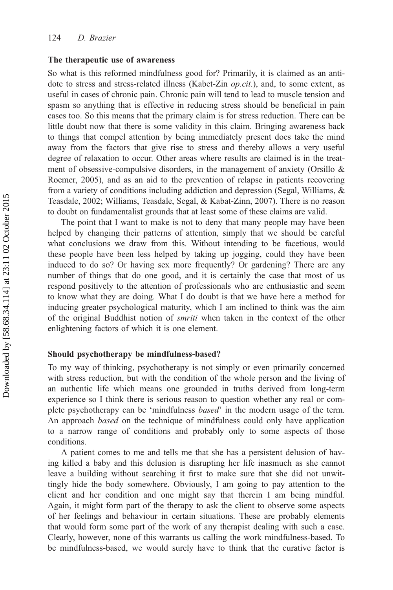#### The therapeutic use of awareness

So what is this reformed mindfulness good for? Primarily, it is claimed as an antidote to stress and stress-related illness (Kabet-Zin op.cit.), and, to some extent, as useful in cases of chronic pain. Chronic pain will tend to lead to muscle tension and spasm so anything that is effective in reducing stress should be beneficial in pain cases too. So this means that the primary claim is for stress reduction. There can be little doubt now that there is some validity in this claim. Bringing awareness back to things that compel attention by being immediately present does take the mind away from the factors that give rise to stress and thereby allows a very useful degree of relaxation to occur. Other areas where results are claimed is in the treatment of obsessive-compulsive disorders, in the management of anxiety (Orsillo & Roemer, 2005), and as an aid to the prevention of relapse in patients recovering from a variety of conditions including addiction and depression (Segal, Williams, & Teasdale, 2002; Williams, Teasdale, Segal, & Kabat-Zinn, 2007). There is no reason to doubt on fundamentalist grounds that at least some of these claims are valid.

The point that I want to make is not to deny that many people may have been helped by changing their patterns of attention, simply that we should be careful what conclusions we draw from this. Without intending to be facetious, would these people have been less helped by taking up jogging, could they have been induced to do so? Or having sex more frequently? Or gardening? There are any number of things that do one good, and it is certainly the case that most of us respond positively to the attention of professionals who are enthusiastic and seem to know what they are doing. What I do doubt is that we have here a method for inducing greater psychological maturity, which I am inclined to think was the aim of the original Buddhist notion of smriti when taken in the context of the other enlightening factors of which it is one element.

#### Should psychotherapy be mindfulness-based?

To my way of thinking, psychotherapy is not simply or even primarily concerned with stress reduction, but with the condition of the whole person and the living of an authentic life which means one grounded in truths derived from long-term experience so I think there is serious reason to question whether any real or complete psychotherapy can be 'mindfulness based' in the modern usage of the term. An approach *based* on the technique of mindfulness could only have application to a narrow range of conditions and probably only to some aspects of those conditions.

A patient comes to me and tells me that she has a persistent delusion of having killed a baby and this delusion is disrupting her life inasmuch as she cannot leave a building without searching it first to make sure that she did not unwittingly hide the body somewhere. Obviously, I am going to pay attention to the client and her condition and one might say that therein I am being mindful. Again, it might form part of the therapy to ask the client to observe some aspects of her feelings and behaviour in certain situations. These are probably elements that would form some part of the work of any therapist dealing with such a case. Clearly, however, none of this warrants us calling the work mindfulness-based. To be mindfulness-based, we would surely have to think that the curative factor is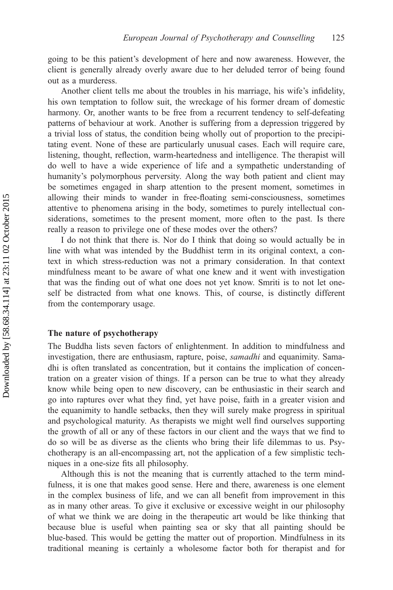going to be this patient's development of here and now awareness. However, the client is generally already overly aware due to her deluded terror of being found out as a murderess.

Another client tells me about the troubles in his marriage, his wife's infidelity, his own temptation to follow suit, the wreckage of his former dream of domestic harmony. Or, another wants to be free from a recurrent tendency to self-defeating patterns of behaviour at work. Another is suffering from a depression triggered by a trivial loss of status, the condition being wholly out of proportion to the precipitating event. None of these are particularly unusual cases. Each will require care, listening, thought, reflection, warm-heartedness and intelligence. The therapist will do well to have a wide experience of life and a sympathetic understanding of humanity's polymorphous perversity. Along the way both patient and client may be sometimes engaged in sharp attention to the present moment, sometimes in allowing their minds to wander in free-floating semi-consciousness, sometimes attentive to phenomena arising in the body, sometimes to purely intellectual considerations, sometimes to the present moment, more often to the past. Is there really a reason to privilege one of these modes over the others?

I do not think that there is. Nor do I think that doing so would actually be in line with what was intended by the Buddhist term in its original context, a context in which stress-reduction was not a primary consideration. In that context mindfulness meant to be aware of what one knew and it went with investigation that was the finding out of what one does not yet know. Smriti is to not let oneself be distracted from what one knows. This, of course, is distinctly different from the contemporary usage.

#### The nature of psychotherapy

The Buddha lists seven factors of enlightenment. In addition to mindfulness and investigation, there are enthusiasm, rapture, poise, samadhi and equanimity. Samadhi is often translated as concentration, but it contains the implication of concentration on a greater vision of things. If a person can be true to what they already know while being open to new discovery, can be enthusiastic in their search and go into raptures over what they find, yet have poise, faith in a greater vision and the equanimity to handle setbacks, then they will surely make progress in spiritual and psychological maturity. As therapists we might well find ourselves supporting the growth of all or any of these factors in our client and the ways that we find to do so will be as diverse as the clients who bring their life dilemmas to us. Psychotherapy is an all-encompassing art, not the application of a few simplistic techniques in a one-size fits all philosophy.

Although this is not the meaning that is currently attached to the term mindfulness, it is one that makes good sense. Here and there, awareness is one element in the complex business of life, and we can all benefit from improvement in this as in many other areas. To give it exclusive or excessive weight in our philosophy of what we think we are doing in the therapeutic art would be like thinking that because blue is useful when painting sea or sky that all painting should be blue-based. This would be getting the matter out of proportion. Mindfulness in its traditional meaning is certainly a wholesome factor both for therapist and for